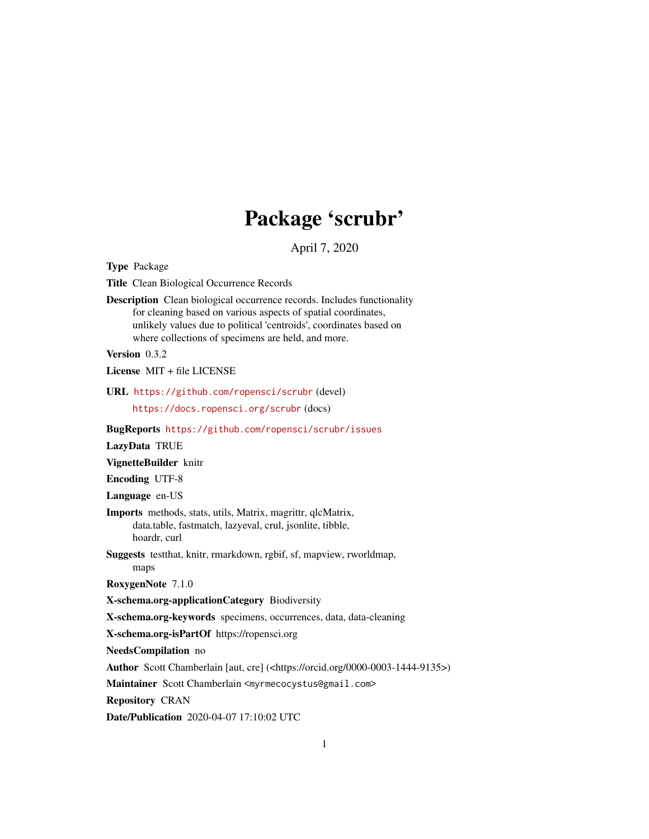## Package 'scrubr'

April 7, 2020

<span id="page-0-0"></span>Type Package

Title Clean Biological Occurrence Records

Description Clean biological occurrence records. Includes functionality for cleaning based on various aspects of spatial coordinates, unlikely values due to political 'centroids', coordinates based on where collections of specimens are held, and more.

Version 0.3.2

License MIT + file LICENSE

URL <https://github.com/ropensci/scrubr> (devel) <https://docs.ropensci.org/scrubr> (docs)

BugReports <https://github.com/ropensci/scrubr/issues>

LazyData TRUE

VignetteBuilder knitr

Encoding UTF-8

Language en-US

- Imports methods, stats, utils, Matrix, magrittr, qlcMatrix, data.table, fastmatch, lazyeval, crul, jsonlite, tibble, hoardr, curl
- Suggests testthat, knitr, rmarkdown, rgbif, sf, mapview, rworldmap, maps

RoxygenNote 7.1.0

X-schema.org-applicationCategory Biodiversity

X-schema.org-keywords specimens, occurrences, data, data-cleaning

X-schema.org-isPartOf https://ropensci.org

NeedsCompilation no

Author Scott Chamberlain [aut, cre] (<https://orcid.org/0000-0003-1444-9135>)

Maintainer Scott Chamberlain <myrmecocystus@gmail.com>

Repository CRAN

Date/Publication 2020-04-07 17:10:02 UTC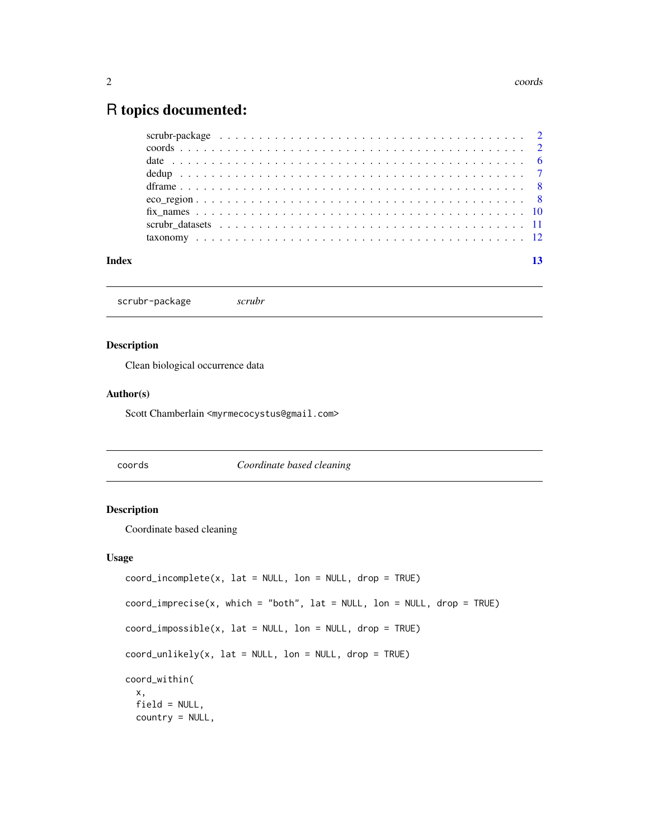## <span id="page-1-0"></span>R topics documented:

| Index |  |
|-------|--|
|       |  |

scrubr-package *scrubr*

#### Description

Clean biological occurrence data

#### Author(s)

Scott Chamberlain <myrmecocystus@gmail.com>

coords *Coordinate based cleaning*

#### Description

Coordinate based cleaning

#### Usage

```
coord\_income(p, lat = NULL, lon = NULL, drop = TRUE)coord\_imprecise(x, which = "both", lat = NULL, lon = NULL, drop = TRUE)coord\_impossible(x, lat = NULL, lon = NULL, drop = TRUE)coord\_unlikely(x, lat = NULL, lon = NULL, drop = TRUE)coord_within(
 x,
 field = NULL,
 country = NULL,
```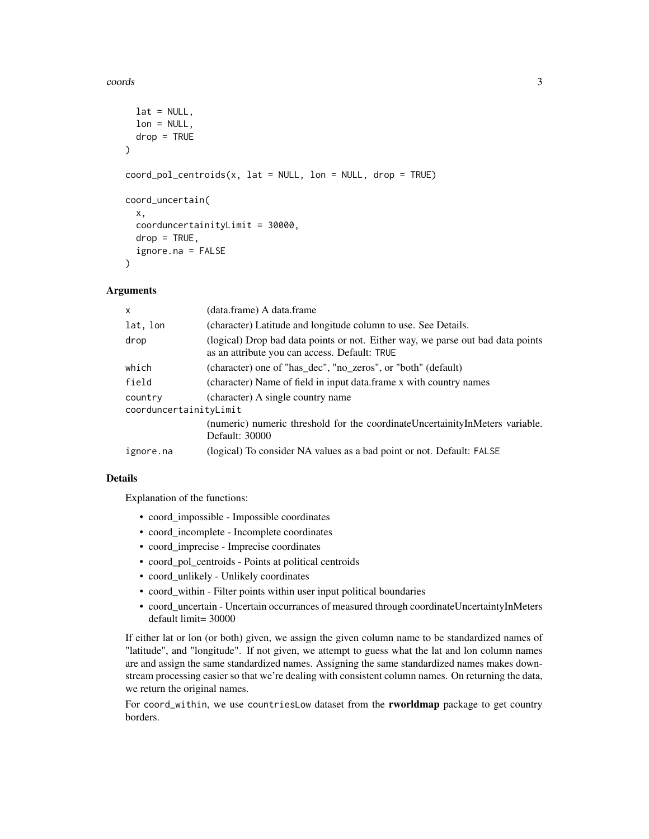#### coords 3

```
lat = NULL,lon = NULL,drop = TRUE\lambdacoord_pol_centroids(x, lat = NULL, lon = NULL, drop = TRUE)
coord_uncertain(
  x,
  coorduncertainityLimit = 30000,
  drop = TRUE,ignore.na = FALSE
)
```
#### Arguments

| $\mathsf{x}$                      | (data.frame) A data.frame                                                                                                        |
|-----------------------------------|----------------------------------------------------------------------------------------------------------------------------------|
| lat, lon                          | (character) Latitude and longitude column to use. See Details.                                                                   |
| drop                              | (logical) Drop bad data points or not. Either way, we parse out bad data points<br>as an attribute you can access. Default: TRUE |
| which                             | (character) one of "has dec", "no zeros", or "both" (default)                                                                    |
| field                             | (character) Name of field in input data.frame x with country names                                                               |
| country<br>coorduncertainityLimit | (character) A single country name                                                                                                |
|                                   | (numeric) numeric threshold for the coordinate Uncertainity In Meters variable.<br><b>Default: 30000</b>                         |
| ignore.na                         | (logical) To consider NA values as a bad point or not. Default: FALSE                                                            |

#### Details

Explanation of the functions:

- coord\_impossible Impossible coordinates
- coord\_incomplete Incomplete coordinates
- coord\_imprecise Imprecise coordinates
- coord\_pol\_centroids Points at political centroids
- coord\_unlikely Unlikely coordinates
- coord\_within Filter points within user input political boundaries
- coord\_uncertain Uncertain occurrances of measured through coordinateUncertaintyInMeters default limit= 30000

If either lat or lon (or both) given, we assign the given column name to be standardized names of "latitude", and "longitude". If not given, we attempt to guess what the lat and lon column names are and assign the same standardized names. Assigning the same standardized names makes downstream processing easier so that we're dealing with consistent column names. On returning the data, we return the original names.

For coord\_within, we use countriesLow dataset from the rworldmap package to get country borders.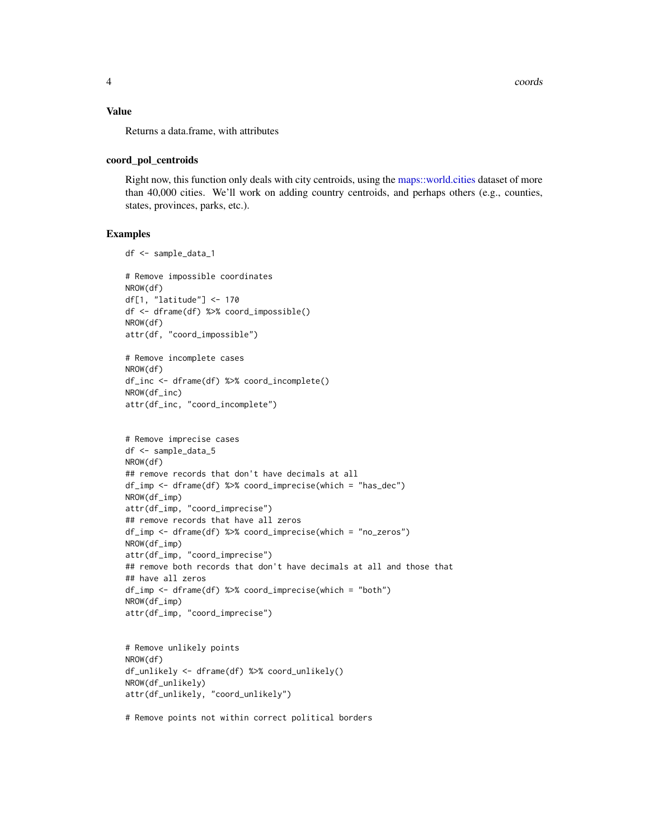#### <span id="page-3-0"></span>Value

Returns a data.frame, with attributes

#### coord\_pol\_centroids

Right now, this function only deals with city centroids, using the [maps::world.cities](#page-0-0) dataset of more than 40,000 cities. We'll work on adding country centroids, and perhaps others (e.g., counties, states, provinces, parks, etc.).

#### Examples

```
df <- sample_data_1
# Remove impossible coordinates
NROW(df)
df[1, "latitude"] <- 170
df <- dframe(df) %>% coord_impossible()
NROW(df)
attr(df, "coord_impossible")
# Remove incomplete cases
NROW(df)
df_inc <- dframe(df) %>% coord_incomplete()
NROW(df_inc)
attr(df_inc, "coord_incomplete")
# Remove imprecise cases
df <- sample_data_5
NROW(df)
## remove records that don't have decimals at all
df_imp <- dframe(df) %>% coord_imprecise(which = "has_dec")
NROW(df_imp)
attr(df_imp, "coord_imprecise")
## remove records that have all zeros
df_imp <- dframe(df) %>% coord_imprecise(which = "no_zeros")
NROW(df_imp)
attr(df_imp, "coord_imprecise")
## remove both records that don't have decimals at all and those that
## have all zeros
df_imp <- dframe(df) %>% coord_imprecise(which = "both")
NROW(df_imp)
attr(df_imp, "coord_imprecise")
```

```
# Remove unlikely points
NROW(df)
df_unlikely <- dframe(df) %>% coord_unlikely()
NROW(df_unlikely)
attr(df_unlikely, "coord_unlikely")
```
# Remove points not within correct political borders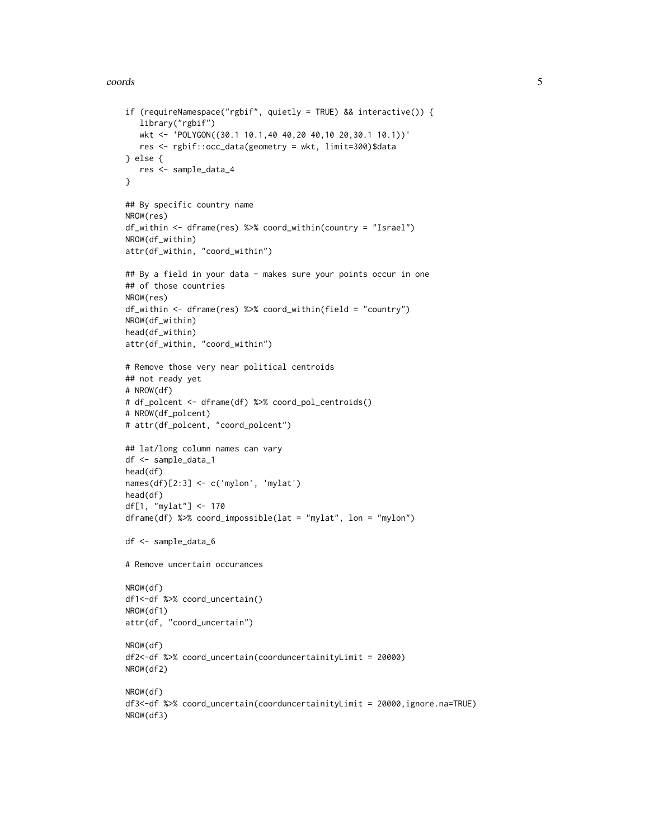#### coords 5

```
if (requireNamespace("rgbif", quietly = TRUE) && interactive()) {
   library("rgbif")
   wkt <- 'POLYGON((30.1 10.1,40 40,20 40,10 20,30.1 10.1))'
  res <- rgbif::occ_data(geometry = wkt, limit=300)$data
} else {
  res <- sample_data_4
}
## By specific country name
NROW(res)
df_within <- dframe(res) %>% coord_within(country = "Israel")
NROW(df_within)
attr(df_within, "coord_within")
## By a field in your data - makes sure your points occur in one
## of those countries
NROW(res)
df_within <- dframe(res) %>% coord_within(field = "country")
NROW(df_within)
head(df_within)
attr(df_within, "coord_within")
# Remove those very near political centroids
## not ready yet
# NROW(df)
# df_polcent <- dframe(df) %>% coord_pol_centroids()
# NROW(df_polcent)
# attr(df_polcent, "coord_polcent")
## lat/long column names can vary
df <- sample_data_1
head(df)
names(df)[2:3] <- c('mylon', 'mylat')
head(df)
df[1, "mylat"] <- 170
dframe(df) %>% coord_impossible(lat = "mylat", lon = "mylon")
df <- sample_data_6
# Remove uncertain occurances
NROW(df)
df1<-df %>% coord_uncertain()
NROW(df1)
attr(df, "coord_uncertain")
NROW(df)
df2<-df %>% coord_uncertain(coorduncertainityLimit = 20000)
NROW(df2)
NROW(df)
df3<-df %>% coord_uncertain(coorduncertainityLimit = 20000,ignore.na=TRUE)
NROW(df3)
```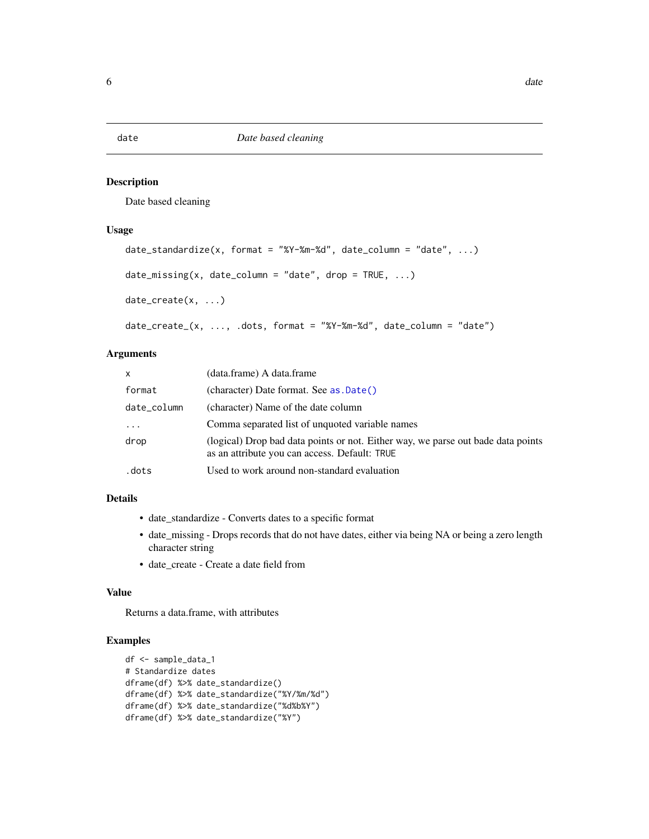#### <span id="page-5-0"></span>Description

Date based cleaning

#### Usage

```
date_standardize(x, format = "%Y-%m-%d", date_column = "date", ...)
date\_missing(x, date\_column = "date", drop = TRUE, ...)date_create(x, ...)
date_create_(x, ..., .dots, format = "%Y-%m-%d", date_column = "date")
```
#### Arguments

| $\mathsf{x}$ | (data.frame) A data.frame                                                                                                         |
|--------------|-----------------------------------------------------------------------------------------------------------------------------------|
| format       | (character) Date format. See as .Date()                                                                                           |
| date column  | (character) Name of the date column                                                                                               |
| $\cdot$      | Comma separated list of unquoted variable names                                                                                   |
| drop         | (logical) Drop bad data points or not. Either way, we parse out bade data points<br>as an attribute you can access. Default: TRUE |
| .dots        | Used to work around non-standard evaluation                                                                                       |

#### Details

- date\_standardize Converts dates to a specific format
- date\_missing Drops records that do not have dates, either via being NA or being a zero length character string
- date\_create Create a date field from

#### Value

Returns a data.frame, with attributes

#### Examples

```
df <- sample_data_1
# Standardize dates
dframe(df) %>% date_standardize()
dframe(df) %>% date_standardize("%Y/%m/%d")
dframe(df) %>% date_standardize("%d%b%Y")
dframe(df) %>% date_standardize("%Y")
```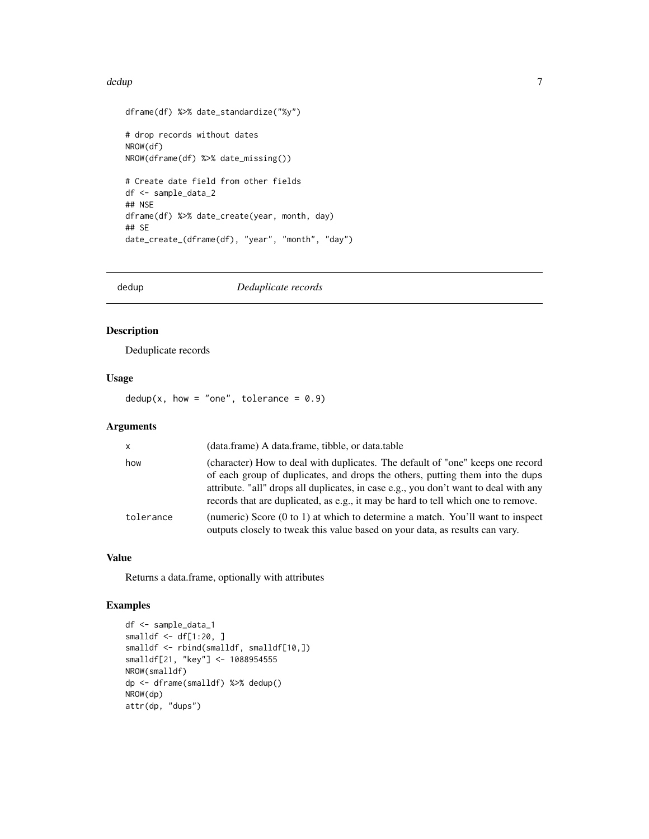#### <span id="page-6-0"></span>dedup and the contract of the contract of the contract of the contract of the contract of the contract of the contract of the contract of the contract of the contract of the contract of the contract of the contract of the

```
dframe(df) %>% date_standardize("%y")
# drop records without dates
NROW(df)
NROW(dframe(df) %>% date_missing())
# Create date field from other fields
df <- sample_data_2
## NSE
dframe(df) %>% date_create(year, month, day)
## SE
date_create_(dframe(df), "year", "month", "day")
```
dedup *Deduplicate records*

#### Description

Deduplicate records

#### Usage

dedup(x, how = "one", tolerance =  $0.9$ )

#### Arguments

| $\mathsf{x}$ | (data.frame) A data.frame, tibble, or data.table                                                                                                                                                                                                                                                                                             |
|--------------|----------------------------------------------------------------------------------------------------------------------------------------------------------------------------------------------------------------------------------------------------------------------------------------------------------------------------------------------|
| how          | (character) How to deal with duplicates. The default of "one" keeps one record<br>of each group of duplicates, and drops the others, putting them into the dups<br>attribute. "all" drops all duplicates, in case e.g., you don't want to deal with any<br>records that are duplicated, as e.g., it may be hard to tell which one to remove. |
| tolerance    | (numeric) Score $(0 \text{ to } 1)$ at which to determine a match. You'll want to inspect<br>outputs closely to tweak this value based on your data, as results can vary.                                                                                                                                                                    |

#### Value

Returns a data.frame, optionally with attributes

#### Examples

```
df <- sample_data_1
smalldf <- df[1:20, ]
smalldf <- rbind(smalldf, smalldf[10,])
smalldf[21, "key"] <- 1088954555
NROW(smalldf)
dp <- dframe(smalldf) %>% dedup()
NROW(dp)
attr(dp, "dups")
```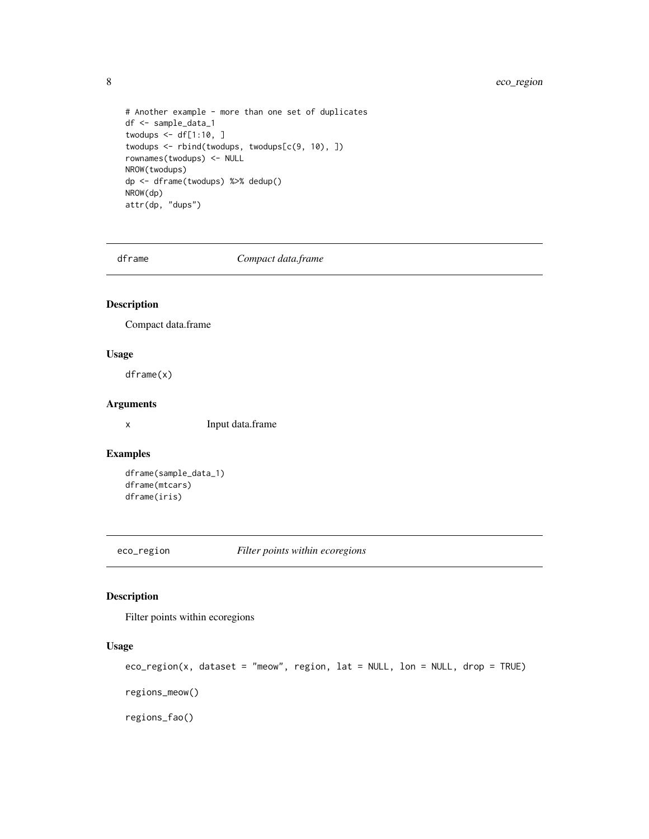### <span id="page-7-0"></span>8 eco\_region

```
# Another example - more than one set of duplicates
df <- sample_data_1
twodups \leq - df[1:10, ]
twodups <- rbind(twodups, twodups[c(9, 10), ])
rownames(twodups) <- NULL
NROW(twodups)
dp <- dframe(twodups) %>% dedup()
NROW(dp)
attr(dp, "dups")
```
dframe *Compact data.frame*

#### Description

Compact data.frame

#### Usage

dframe(x)

#### Arguments

x Input data.frame

#### Examples

```
dframe(sample_data_1)
dframe(mtcars)
dframe(iris)
```
eco\_region *Filter points within ecoregions*

#### Description

Filter points within ecoregions

#### Usage

```
eco_region(x, dataset = "meow", region, lat = NULL, lon = NULL, drop = TRUE)
regions_meow()
regions_fao()
```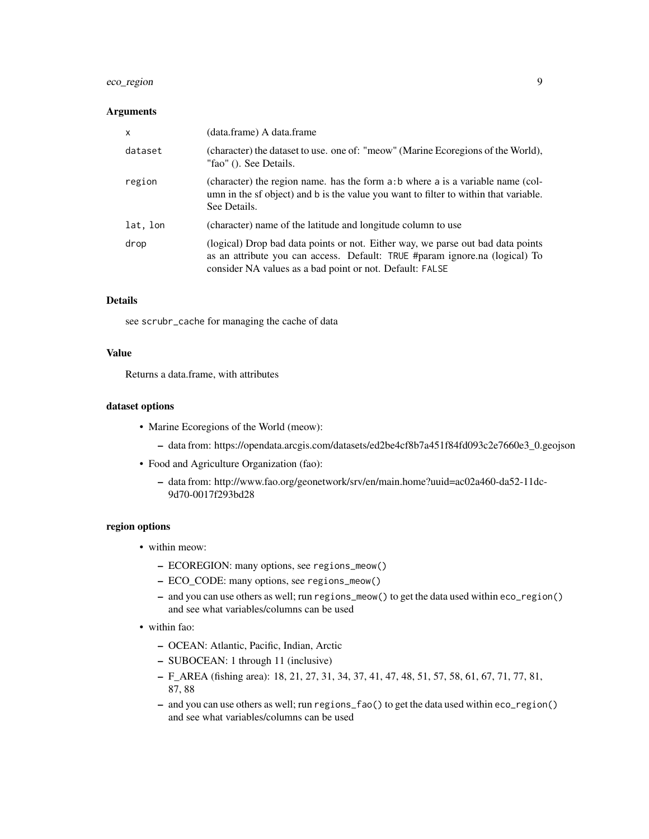#### eco\_region 9

#### Arguments

| $\mathsf{x}$ | (data.frame) A data.frame                                                                                                                                                                                                  |
|--------------|----------------------------------------------------------------------------------------------------------------------------------------------------------------------------------------------------------------------------|
| dataset      | (character) the dataset to use. one of: "meow" (Marine Ecoregions of the World),<br>"fao" (). See Details.                                                                                                                 |
| region       | (character) the region name. has the form a: b where a is a variable name (col-<br>umn in the sf object) and b is the value you want to filter to within that variable.<br>See Details.                                    |
| lat, lon     | (character) name of the latitude and longitude column to use                                                                                                                                                               |
| drop         | (logical) Drop bad data points or not. Either way, we parse out bad data points<br>as an attribute you can access. Default: TRUE #param ignore.na (logical) To<br>consider NA values as a bad point or not. Default: FALSE |

#### **Details**

see scrubr\_cache for managing the cache of data

#### Value

Returns a data.frame, with attributes

#### dataset options

- Marine Ecoregions of the World (meow):
	- data from: https://opendata.arcgis.com/datasets/ed2be4cf8b7a451f84fd093c2e7660e3\_0.geojson
- Food and Agriculture Organization (fao):
	- data from: http://www.fao.org/geonetwork/srv/en/main.home?uuid=ac02a460-da52-11dc-9d70-0017f293bd28

#### region options

- within meow:
	- ECOREGION: many options, see regions\_meow()
	- ECO\_CODE: many options, see regions\_meow()
	- and you can use others as well; run regions\_meow() to get the data used within eco\_region() and see what variables/columns can be used
- within fao:
	- OCEAN: Atlantic, Pacific, Indian, Arctic
	- SUBOCEAN: 1 through 11 (inclusive)
	- F\_AREA (fishing area): 18, 21, 27, 31, 34, 37, 41, 47, 48, 51, 57, 58, 61, 67, 71, 77, 81, 87, 88
	- and you can use others as well; run regions\_fao() to get the data used within eco\_region() and see what variables/columns can be used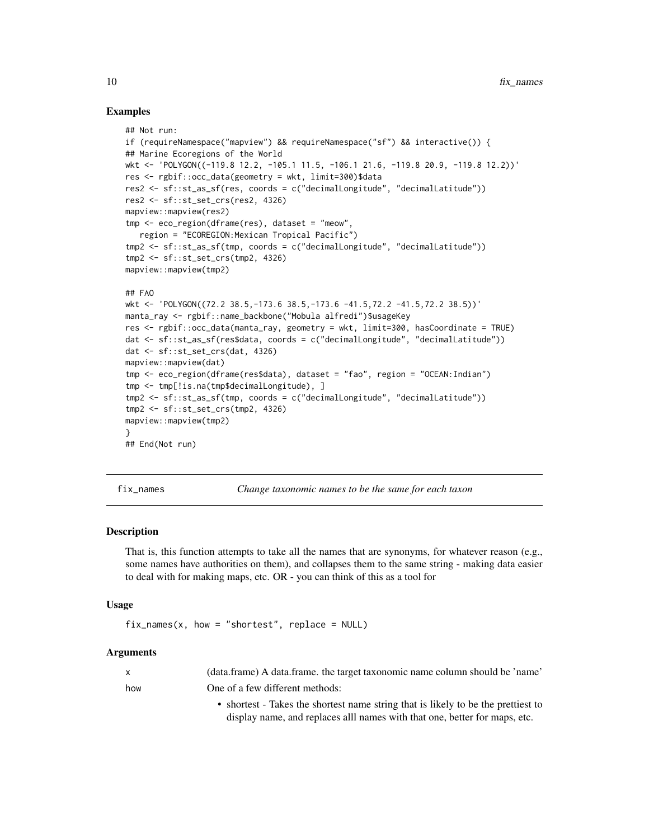#### Examples

```
## Not run:
if (requireNamespace("mapview") && requireNamespace("sf") && interactive()) {
## Marine Ecoregions of the World
wkt <- 'POLYGON((-119.8 12.2, -105.1 11.5, -106.1 21.6, -119.8 20.9, -119.8 12.2))'
res <- rgbif::occ_data(geometry = wkt, limit=300)$data
res2 <- sf::st_as_sf(res, coords = c("decimalLongitude", "decimalLatitude"))
res2 <- sf::st_set_crs(res2, 4326)
mapview::mapview(res2)
tmp <- eco_region(dframe(res), dataset = "meow",
   region = "ECOREGION:Mexican Tropical Pacific")
tmp2 <- sf::st_as_sf(tmp, coords = c("decimalLongitude", "decimalLatitude"))
tmp2 <- sf::st_set_crs(tmp2, 4326)
mapview::mapview(tmp2)
## FAO
wkt <- 'POLYGON((72.2 38.5,-173.6 38.5,-173.6 -41.5,72.2 -41.5,72.2 38.5))'
manta_ray <- rgbif::name_backbone("Mobula alfredi")$usageKey
res <- rgbif::occ_data(manta_ray, geometry = wkt, limit=300, hasCoordinate = TRUE)
dat <- sf::st_as_sf(res$data, coords = c("decimalLongitude", "decimalLatitude"))
dat <- sf::st_set_crs(dat, 4326)
mapview::mapview(dat)
tmp <- eco_region(dframe(res$data), dataset = "fao", region = "OCEAN:Indian")
tmp <- tmp[!is.na(tmp$decimalLongitude), ]
tmp2 <- sf::st_as_sf(tmp, coords = c("decimalLongitude", "decimalLatitude"))
tmp2 <- sf::st_set_crs(tmp2, 4326)
mapview::mapview(tmp2)
}
## End(Not run)
```
fix\_names *Change taxonomic names to be the same for each taxon*

#### Description

That is, this function attempts to take all the names that are synonyms, for whatever reason (e.g., some names have authorities on them), and collapses them to the same string - making data easier to deal with for making maps, etc. OR - you can think of this as a tool for

#### Usage

```
fix\_names(x, how = "shortest", replace = NULL)
```
#### Arguments

|     | (data.frame) A data.frame. the target taxonomic name column should be 'name'      |
|-----|-----------------------------------------------------------------------------------|
| how | One of a few different methods:                                                   |
|     | • shortest - Takes the shortest name string that is likely to be the prettiest to |

display name, and replaces alll names with that one, better for maps, etc.

<span id="page-9-0"></span>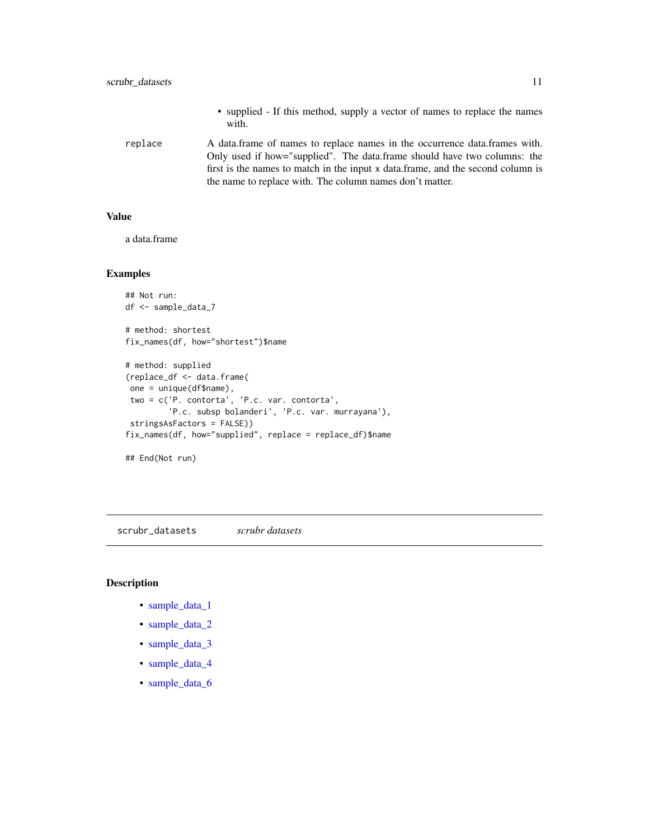- supplied If this method, supply a vector of names to replace the names with.
- <span id="page-10-0"></span>replace A data.frame of names to replace names in the occurrence data.frames with. Only used if how="supplied". The data.frame should have two columns: the first is the names to match in the input x data.frame, and the second column is the name to replace with. The column names don't matter.

#### Value

a data.frame

#### Examples

```
## Not run:
df <- sample_data_7
# method: shortest
fix_names(df, how="shortest")$name
# method: supplied
(replace_df <- data.frame(
one = unique(df$name),
two = c('P. contorta', 'P.c. var. contorta',
         'P.c. subsp bolanderi', 'P.c. var. murrayana'),
stringsAsFactors = FALSE))
fix_names(df, how="supplied", replace = replace_df)$name
## End(Not run)
```
scrubr\_datasets *scrubr datasets*

#### Description

- [sample\\_data\\_1](#page-0-0)
- [sample\\_data\\_2](#page-0-0)
- [sample\\_data\\_3](#page-0-0)
- [sample\\_data\\_4](#page-0-0)
- [sample\\_data\\_6](#page-0-0)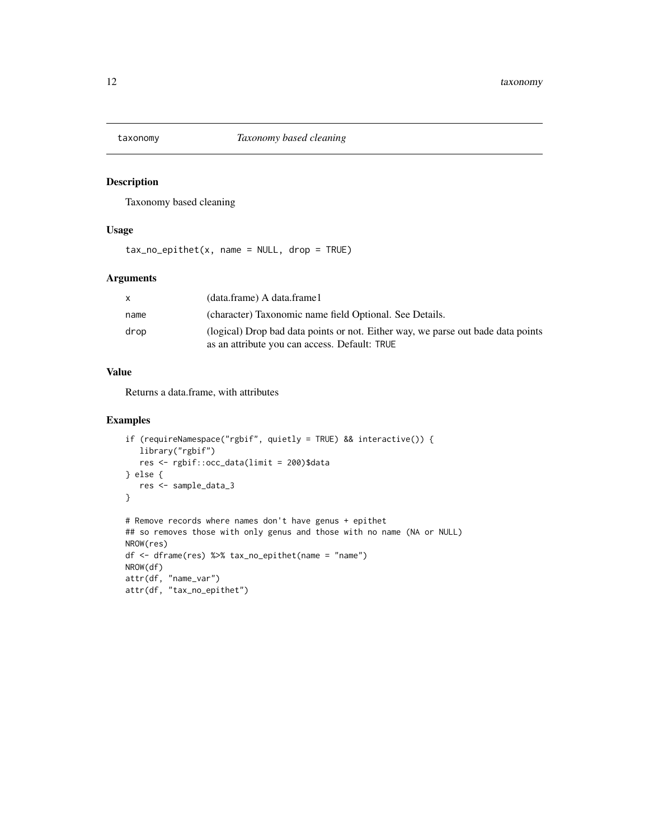<span id="page-11-0"></span>

#### Description

Taxonomy based cleaning

#### Usage

 $tax\_no\_epithet(x, name = NULL, drop = TRUE)$ 

#### Arguments

| x    | (data.frame) A data.frame1                                                                                                        |
|------|-----------------------------------------------------------------------------------------------------------------------------------|
| name | (character) Taxonomic name field Optional. See Details.                                                                           |
| drop | (logical) Drop bad data points or not. Either way, we parse out bade data points<br>as an attribute you can access. Default: TRUE |

#### Value

Returns a data.frame, with attributes

#### Examples

```
if (requireNamespace("rgbif", quietly = TRUE) && interactive()) {
  library("rgbif")
  res <- rgbif::occ_data(limit = 200)$data
} else {
   res <- sample_data_3
}
# Remove records where names don't have genus + epithet
## so removes those with only genus and those with no name (NA or NULL)
NROW(res)
df <- dframe(res) %>% tax_no_epithet(name = "name")
NROW(df)
attr(df, "name_var")
attr(df, "tax_no_epithet")
```